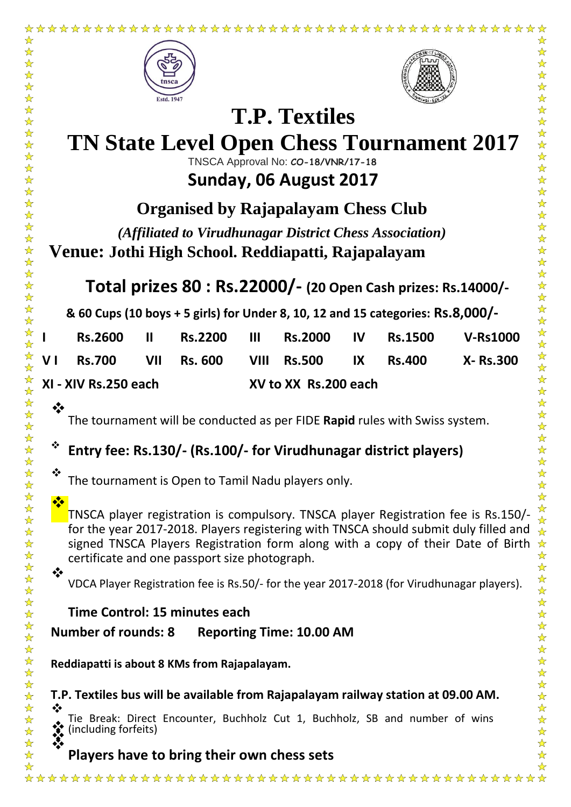



# **TN State Level Open Chess Tournament 2017**

**T.P. Textiles**

TNSCA Approval No: **CO-18/VNR/17-18**

# **Sunday, 06 August 2017**

**Organised by Rajapalayam Chess Club**

*(Affiliated to Virudhunagar District Chess Association)* **Venue: Jothi High School. Reddiapatti, Rajapalayam**

# **Total prizes 80 : Rs.22000/- (20 Open Cash prizes: Rs.14000/-**

**& 60 Cups (10 boys + 5 girls) for Under 8, 10, 12 and 15 categories: Rs.8,000/-**

|                      | <b>Rs.2600</b>                              | н | <b>Rs.2200</b> | $\cdot$ III $\cdot$  |  |  | Rs.2000 IV Rs.1500 V-Rs1000 |                 |  |
|----------------------|---------------------------------------------|---|----------------|----------------------|--|--|-----------------------------|-----------------|--|
|                      | VI Rs.700 VII Rs. 600 VIII Rs.500 IX Rs.400 |   |                |                      |  |  |                             | <b>X-Rs.300</b> |  |
| XI - XIV Rs.250 each |                                             |   |                | XV to XX Rs.200 each |  |  |                             |                 |  |

### The tournament will be conducted as per FIDE **Rapid** rules with Swiss system.

## **Entry fee: Rs.130/- (Rs.100/- for Virudhunagar district players)**

The tournament is Open to Tamil Nadu players only.

#### TNSCA player registration is compulsory. TNSCA player Registration fee is Rs.150/ for the year 2017-2018. Players registering with TNSCA should submit duly filled and signed TNSCA Players Registration form along with a copy of their Date of Birth certificate and one passport size photograph.

VDCA Player Registration fee is Rs.50/- for the year 2017-2018 (for Virudhunagar players).

### **Time Control: 15 minutes each**

**Number of rounds: 8 Reporting Time: 10.00 AM**

**Reddiapatti is about 8 KMs from Rajapalayam.** 

**T.P. Textiles bus will be available from Rajapalayam railway station at 09.00 AM.**

❖ Tie Break: Direct Encounter, Buchholz Cut 1, Buchholz, SB and number of wins **and including forfeits)**<br> **Players have to bring their own chess sets Players have to bring their own chess sets** 

 $\ddot{\cdot}$ 

 $\frac{1}{2}$ 

 $\ddot{\cdot}$ 

 $\rightarrow$